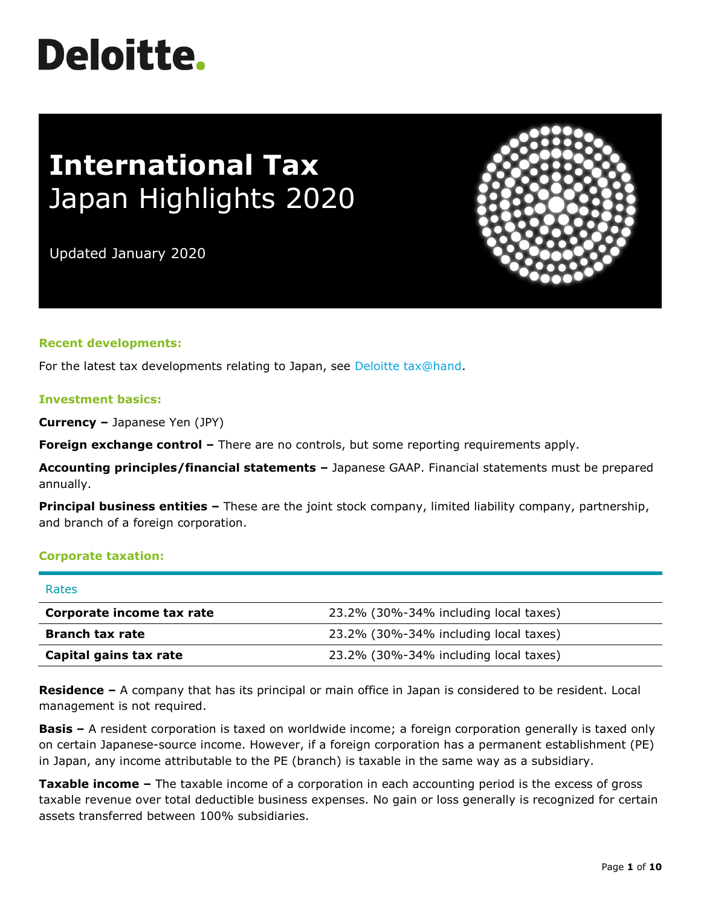# **Deloitte.**

# **International Tax** Japan Highlights 2020

Updated January 2020

# **Recent developments:**

For the latest tax developments relating to Japan, see [Deloitte tax@hand.](https://www.taxathand.com/world-news/Japan)

#### **Investment basics:**

**Currency –** Japanese Yen (JPY)

**Foreign exchange control –** There are no controls, but some reporting requirements apply.

**Accounting principles/financial statements –** Japanese GAAP. Financial statements must be prepared annually.

**Principal business entities –** These are the joint stock company, limited liability company, partnership, and branch of a foreign corporation.

# **Corporate taxation:**

| Rates                     |                                       |
|---------------------------|---------------------------------------|
| Corporate income tax rate | 23.2% (30%-34% including local taxes) |
| <b>Branch tax rate</b>    | 23.2% (30%-34% including local taxes) |
| Capital gains tax rate    | 23.2% (30%-34% including local taxes) |

**Residence –** A company that has its principal or main office in Japan is considered to be resident. Local management is not required.

**Basis –** A resident corporation is taxed on worldwide income; a foreign corporation generally is taxed only on certain Japanese-source income. However, if a foreign corporation has a permanent establishment (PE) in Japan, any income attributable to the PE (branch) is taxable in the same way as a subsidiary.

**Taxable income –** The taxable income of a corporation in each accounting period is the excess of gross taxable revenue over total deductible business expenses. No gain or loss generally is recognized for certain assets transferred between 100% subsidiaries.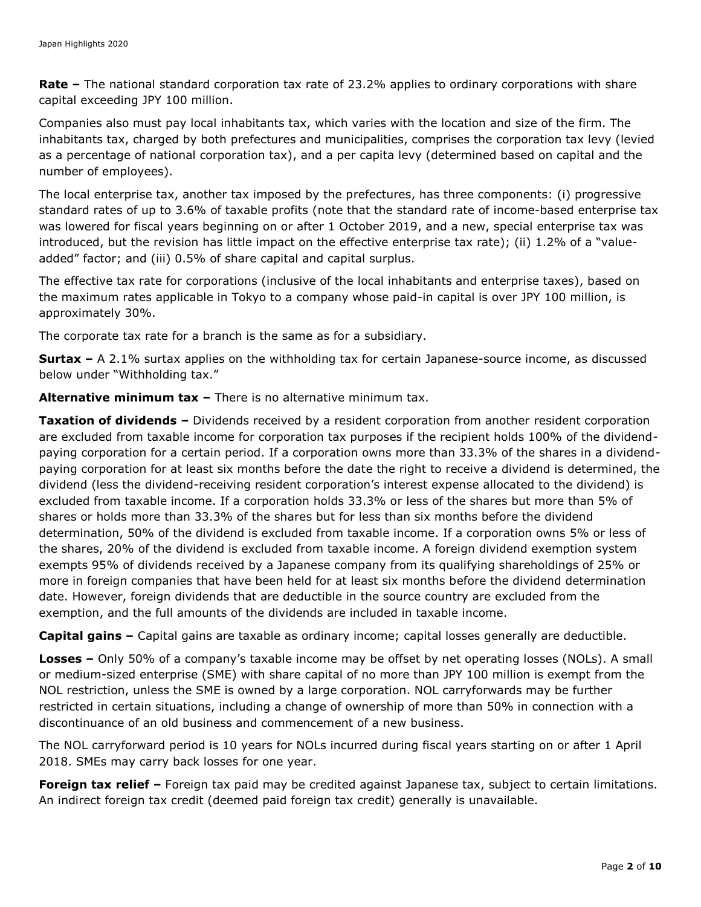**Rate –** The national standard corporation tax rate of 23.2% applies to ordinary corporations with share capital exceeding JPY 100 million.

Companies also must pay local inhabitants tax, which varies with the location and size of the firm. The inhabitants tax, charged by both prefectures and municipalities, comprises the corporation tax levy (levied as a percentage of national corporation tax), and a per capita levy (determined based on capital and the number of employees).

The local enterprise tax, another tax imposed by the prefectures, has three components: (i) progressive standard rates of up to 3.6% of taxable profits (note that the standard rate of income-based enterprise tax was lowered for fiscal years beginning on or after 1 October 2019, and a new, special enterprise tax was introduced, but the revision has little impact on the effective enterprise tax rate); (ii) 1.2% of a "valueadded" factor; and (iii) 0.5% of share capital and capital surplus.

The effective tax rate for corporations (inclusive of the local inhabitants and enterprise taxes), based on the maximum rates applicable in Tokyo to a company whose paid-in capital is over JPY 100 million, is approximately 30%.

The corporate tax rate for a branch is the same as for a subsidiary.

**Surtax –** A 2.1% surtax applies on the withholding tax for certain Japanese-source income, as discussed below under "Withholding tax."

**Alternative minimum tax –** There is no alternative minimum tax.

**Taxation of dividends –** Dividends received by a resident corporation from another resident corporation are excluded from taxable income for corporation tax purposes if the recipient holds 100% of the dividendpaying corporation for a certain period. If a corporation owns more than 33.3% of the shares in a dividendpaying corporation for at least six months before the date the right to receive a dividend is determined, the dividend (less the dividend-receiving resident corporation's interest expense allocated to the dividend) is excluded from taxable income. If a corporation holds 33.3% or less of the shares but more than 5% of shares or holds more than 33.3% of the shares but for less than six months before the dividend determination, 50% of the dividend is excluded from taxable income. If a corporation owns 5% or less of the shares, 20% of the dividend is excluded from taxable income. A foreign dividend exemption system exempts 95% of dividends received by a Japanese company from its qualifying shareholdings of 25% or more in foreign companies that have been held for at least six months before the dividend determination date. However, foreign dividends that are deductible in the source country are excluded from the exemption, and the full amounts of the dividends are included in taxable income.

**Capital gains –** Capital gains are taxable as ordinary income; capital losses generally are deductible.

**Losses –** Only 50% of a company's taxable income may be offset by net operating losses (NOLs). A small or medium-sized enterprise (SME) with share capital of no more than JPY 100 million is exempt from the NOL restriction, unless the SME is owned by a large corporation. NOL carryforwards may be further restricted in certain situations, including a change of ownership of more than 50% in connection with a discontinuance of an old business and commencement of a new business.

The NOL carryforward period is 10 years for NOLs incurred during fiscal years starting on or after 1 April 2018. SMEs may carry back losses for one year.

**Foreign tax relief** – Foreign tax paid may be credited against Japanese tax, subject to certain limitations. An indirect foreign tax credit (deemed paid foreign tax credit) generally is unavailable.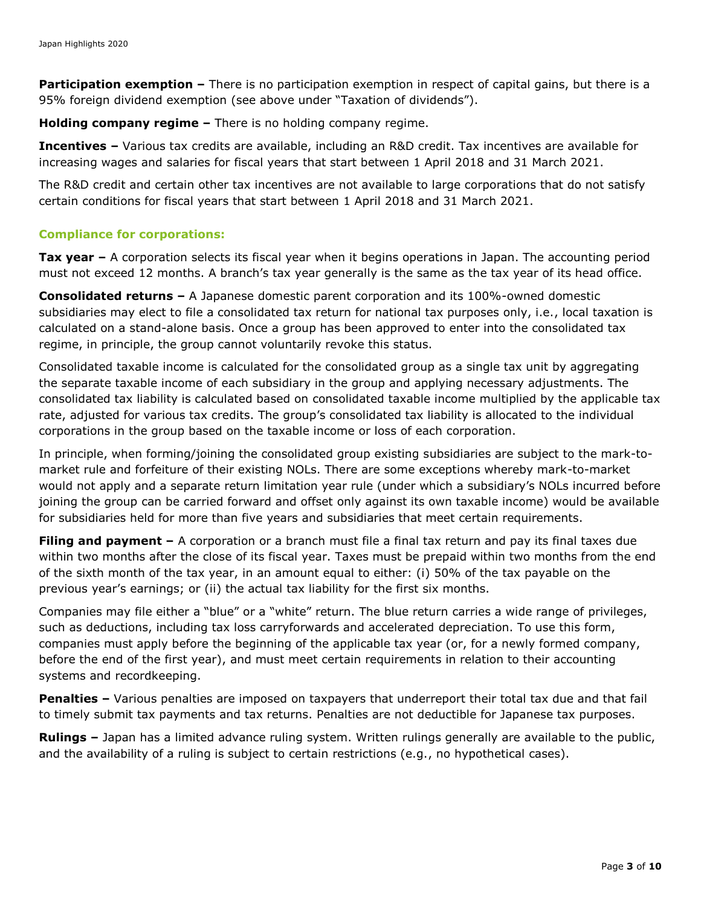**Participation exemption –** There is no participation exemption in respect of capital gains, but there is a 95% foreign dividend exemption (see above under "Taxation of dividends").

**Holding company regime –** There is no holding company regime.

**Incentives –** Various tax credits are available, including an R&D credit. Tax incentives are available for increasing wages and salaries for fiscal years that start between 1 April 2018 and 31 March 2021.

The R&D credit and certain other tax incentives are not available to large corporations that do not satisfy certain conditions for fiscal years that start between 1 April 2018 and 31 March 2021.

#### **Compliance for corporations:**

**Tax year –** A corporation selects its fiscal year when it begins operations in Japan. The accounting period must not exceed 12 months. A branch's tax year generally is the same as the tax year of its head office.

**Consolidated returns –** A Japanese domestic parent corporation and its 100%-owned domestic subsidiaries may elect to file a consolidated tax return for national tax purposes only, i.e., local taxation is calculated on a stand-alone basis. Once a group has been approved to enter into the consolidated tax regime, in principle, the group cannot voluntarily revoke this status.

Consolidated taxable income is calculated for the consolidated group as a single tax unit by aggregating the separate taxable income of each subsidiary in the group and applying necessary adjustments. The consolidated tax liability is calculated based on consolidated taxable income multiplied by the applicable tax rate, adjusted for various tax credits. The group's consolidated tax liability is allocated to the individual corporations in the group based on the taxable income or loss of each corporation.

In principle, when forming/joining the consolidated group existing subsidiaries are subject to the mark-tomarket rule and forfeiture of their existing NOLs. There are some exceptions whereby mark-to-market would not apply and a separate return limitation year rule (under which a subsidiary's NOLs incurred before joining the group can be carried forward and offset only against its own taxable income) would be available for subsidiaries held for more than five years and subsidiaries that meet certain requirements.

**Filing and payment –** A corporation or a branch must file a final tax return and pay its final taxes due within two months after the close of its fiscal year. Taxes must be prepaid within two months from the end of the sixth month of the tax year, in an amount equal to either: (i) 50% of the tax payable on the previous year's earnings; or (ii) the actual tax liability for the first six months.

Companies may file either a "blue" or a "white" return. The blue return carries a wide range of privileges, such as deductions, including tax loss carryforwards and accelerated depreciation. To use this form, companies must apply before the beginning of the applicable tax year (or, for a newly formed company, before the end of the first year), and must meet certain requirements in relation to their accounting systems and recordkeeping.

**Penalties –** Various penalties are imposed on taxpayers that underreport their total tax due and that fail to timely submit tax payments and tax returns. Penalties are not deductible for Japanese tax purposes.

**Rulings –** Japan has a limited advance ruling system. Written rulings generally are available to the public, and the availability of a ruling is subject to certain restrictions (e.g., no hypothetical cases).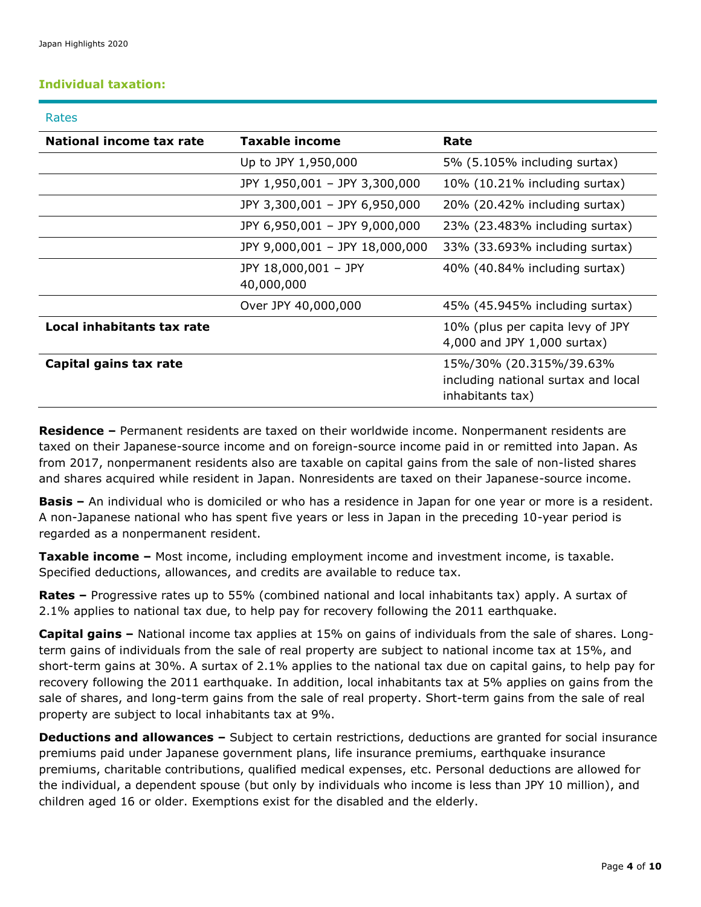# **Individual taxation:**

| Rates                      |                                    |                                                                                    |
|----------------------------|------------------------------------|------------------------------------------------------------------------------------|
| National income tax rate   | <b>Taxable income</b>              | Rate                                                                               |
|                            | Up to JPY 1,950,000                | 5% (5.105% including surtax)                                                       |
|                            | JPY 1,950,001 - JPY 3,300,000      | $10\%$ (10.21% including surtax)                                                   |
|                            | JPY 3,300,001 - JPY 6,950,000      | 20% (20.42% including surtax)                                                      |
|                            | JPY 6,950,001 - JPY 9,000,000      | 23% (23.483% including surtax)                                                     |
|                            | JPY 9,000,001 - JPY 18,000,000     | 33% (33.693% including surtax)                                                     |
|                            | JPY 18,000,001 - JPY<br>40,000,000 | 40% (40.84% including surtax)                                                      |
|                            | Over JPY 40,000,000                | 45% (45.945% including surtax)                                                     |
| Local inhabitants tax rate |                                    | 10% (plus per capita levy of JPY<br>4,000 and JPY 1,000 surtax)                    |
| Capital gains tax rate     |                                    | 15%/30% (20.315%/39.63%<br>including national surtax and local<br>inhabitants tax) |

**Residence –** Permanent residents are taxed on their worldwide income. Nonpermanent residents are taxed on their Japanese-source income and on foreign-source income paid in or remitted into Japan. As from 2017, nonpermanent residents also are taxable on capital gains from the sale of non-listed shares and shares acquired while resident in Japan. Nonresidents are taxed on their Japanese-source income.

**Basis –** An individual who is domiciled or who has a residence in Japan for one year or more is a resident. A non-Japanese national who has spent five years or less in Japan in the preceding 10-year period is regarded as a nonpermanent resident.

**Taxable income –** Most income, including employment income and investment income, is taxable. Specified deductions, allowances, and credits are available to reduce tax.

**Rates –** Progressive rates up to 55% (combined national and local inhabitants tax) apply. A surtax of 2.1% applies to national tax due, to help pay for recovery following the 2011 earthquake.

**Capital gains –** National income tax applies at 15% on gains of individuals from the sale of shares. Longterm gains of individuals from the sale of real property are subject to national income tax at 15%, and short-term gains at 30%. A surtax of 2.1% applies to the national tax due on capital gains, to help pay for recovery following the 2011 earthquake. In addition, local inhabitants tax at 5% applies on gains from the sale of shares, and long-term gains from the sale of real property. Short-term gains from the sale of real property are subject to local inhabitants tax at 9%.

**Deductions and allowances –** Subject to certain restrictions, deductions are granted for social insurance premiums paid under Japanese government plans, life insurance premiums, earthquake insurance premiums, charitable contributions, qualified medical expenses, etc. Personal deductions are allowed for the individual, a dependent spouse (but only by individuals who income is less than JPY 10 million), and children aged 16 or older. Exemptions exist for the disabled and the elderly.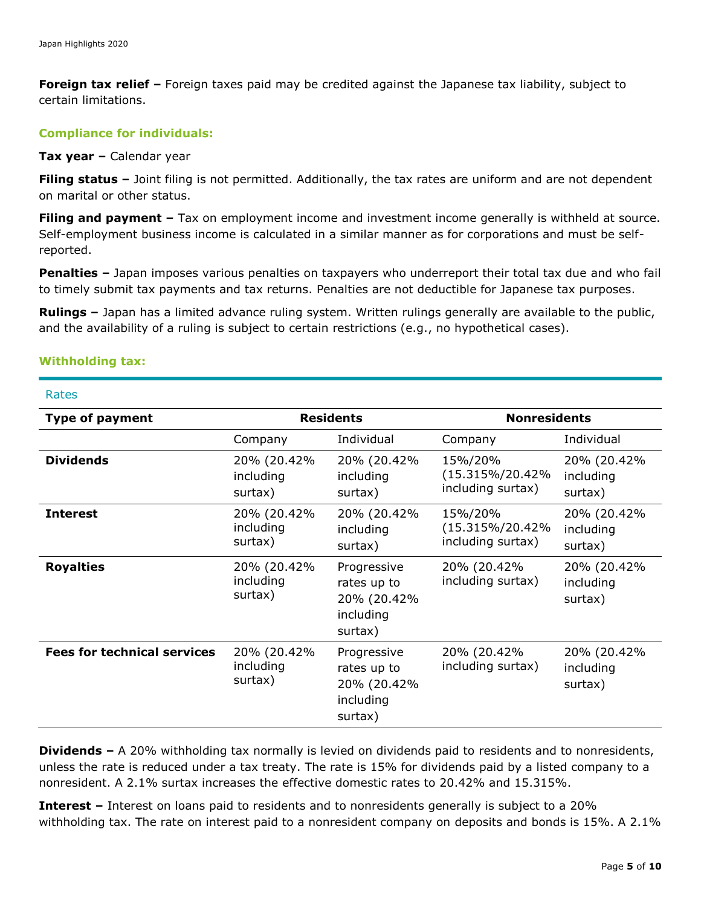**Foreign tax relief –** Foreign taxes paid may be credited against the Japanese tax liability, subject to certain limitations.

#### **Compliance for individuals:**

#### **Tax year –** Calendar year

**Filing status –** Joint filing is not permitted. Additionally, the tax rates are uniform and are not dependent on marital or other status.

**Filing and payment –** Tax on employment income and investment income generally is withheld at source. Self-employment business income is calculated in a similar manner as for corporations and must be selfreported.

**Penalties –** Japan imposes various penalties on taxpayers who underreport their total tax due and who fail to timely submit tax payments and tax returns. Penalties are not deductible for Japanese tax purposes.

**Rulings –** Japan has a limited advance ruling system. Written rulings generally are available to the public, and the availability of a ruling is subject to certain restrictions (e.g., no hypothetical cases).

# **Withholding tax:**

#### Rates

| <b>Type of payment</b>             | <b>Residents</b>                    |                                                                   | <b>Nonresidents</b>                             |                                     |
|------------------------------------|-------------------------------------|-------------------------------------------------------------------|-------------------------------------------------|-------------------------------------|
|                                    | Company                             | Individual                                                        | Company                                         | Individual                          |
| <b>Dividends</b>                   | 20% (20.42%<br>including<br>surtax) | 20% (20.42%<br>including<br>surtax)                               | 15%/20%<br>(15.315%/20.42%<br>including surtax) | 20% (20.42%<br>including<br>surtax) |
| <b>Interest</b>                    | 20% (20.42%<br>including<br>surtax) | 20% (20.42%<br>including<br>surtax)                               | 15%/20%<br>(15.315%/20.42%<br>including surtax) | 20% (20.42%<br>including<br>surtax) |
| <b>Royalties</b>                   | 20% (20.42%<br>including<br>surtax) | Progressive<br>rates up to<br>20% (20.42%<br>including<br>surtax) | 20% (20.42%<br>including surtax)                | 20% (20.42%<br>including<br>surtax) |
| <b>Fees for technical services</b> | 20% (20.42%<br>including<br>surtax) | Progressive<br>rates up to<br>20% (20.42%<br>including<br>surtax) | 20% (20.42%<br>including surtax)                | 20% (20.42%<br>including<br>surtax) |

**Dividends –** A 20% withholding tax normally is levied on dividends paid to residents and to nonresidents, unless the rate is reduced under a tax treaty. The rate is 15% for dividends paid by a listed company to a nonresident. A 2.1% surtax increases the effective domestic rates to 20.42% and 15.315%.

**Interest –** Interest on loans paid to residents and to nonresidents generally is subject to a 20% withholding tax. The rate on interest paid to a nonresident company on deposits and bonds is 15%. A 2.1%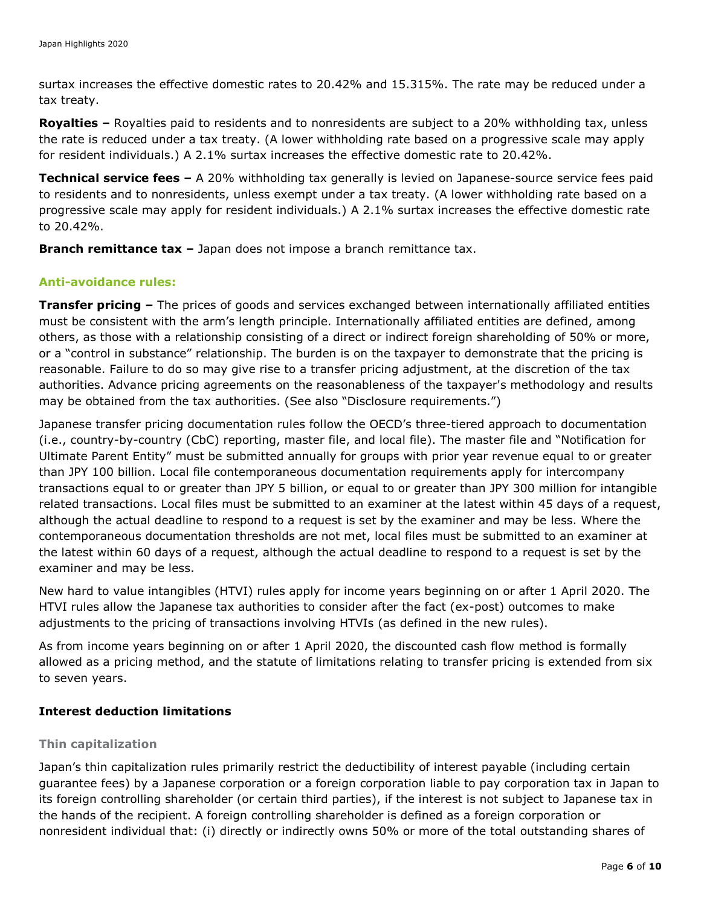surtax increases the effective domestic rates to 20.42% and 15.315%. The rate may be reduced under a tax treaty.

**Royalties –** Royalties paid to residents and to nonresidents are subject to a 20% withholding tax, unless the rate is reduced under a tax treaty. (A lower withholding rate based on a progressive scale may apply for resident individuals.) A 2.1% surtax increases the effective domestic rate to 20.42%.

**Technical service fees –** A 20% withholding tax generally is levied on Japanese-source service fees paid to residents and to nonresidents, unless exempt under a tax treaty. (A lower withholding rate based on a progressive scale may apply for resident individuals.) A 2.1% surtax increases the effective domestic rate to 20.42%.

**Branch remittance tax –** Japan does not impose a branch remittance tax.

# **Anti-avoidance rules:**

**Transfer pricing –** The prices of goods and services exchanged between internationally affiliated entities must be consistent with the arm's length principle. Internationally affiliated entities are defined, among others, as those with a relationship consisting of a direct or indirect foreign shareholding of 50% or more, or a "control in substance" relationship. The burden is on the taxpayer to demonstrate that the pricing is reasonable. Failure to do so may give rise to a transfer pricing adjustment, at the discretion of the tax authorities. Advance pricing agreements on the reasonableness of the taxpayer's methodology and results may be obtained from the tax authorities. (See also "Disclosure requirements.")

Japanese transfer pricing documentation rules follow the OECD's three-tiered approach to documentation (i.e., country-by-country (CbC) reporting, master file, and local file). The master file and "Notification for Ultimate Parent Entity" must be submitted annually for groups with prior year revenue equal to or greater than JPY 100 billion. Local file contemporaneous documentation requirements apply for intercompany transactions equal to or greater than JPY 5 billion, or equal to or greater than JPY 300 million for intangible related transactions. Local files must be submitted to an examiner at the latest within 45 days of a request, although the actual deadline to respond to a request is set by the examiner and may be less. Where the contemporaneous documentation thresholds are not met, local files must be submitted to an examiner at the latest within 60 days of a request, although the actual deadline to respond to a request is set by the examiner and may be less.

New hard to value intangibles (HTVI) rules apply for income years beginning on or after 1 April 2020. The HTVI rules allow the Japanese tax authorities to consider after the fact (ex-post) outcomes to make adjustments to the pricing of transactions involving HTVIs (as defined in the new rules).

As from income years beginning on or after 1 April 2020, the discounted cash flow method is formally allowed as a pricing method, and the statute of limitations relating to transfer pricing is extended from six to seven years.

#### **Interest deduction limitations**

#### **Thin capitalization**

Japan's thin capitalization rules primarily restrict the deductibility of interest payable (including certain guarantee fees) by a Japanese corporation or a foreign corporation liable to pay corporation tax in Japan to its foreign controlling shareholder (or certain third parties), if the interest is not subject to Japanese tax in the hands of the recipient. A foreign controlling shareholder is defined as a foreign corporation or nonresident individual that: (i) directly or indirectly owns 50% or more of the total outstanding shares of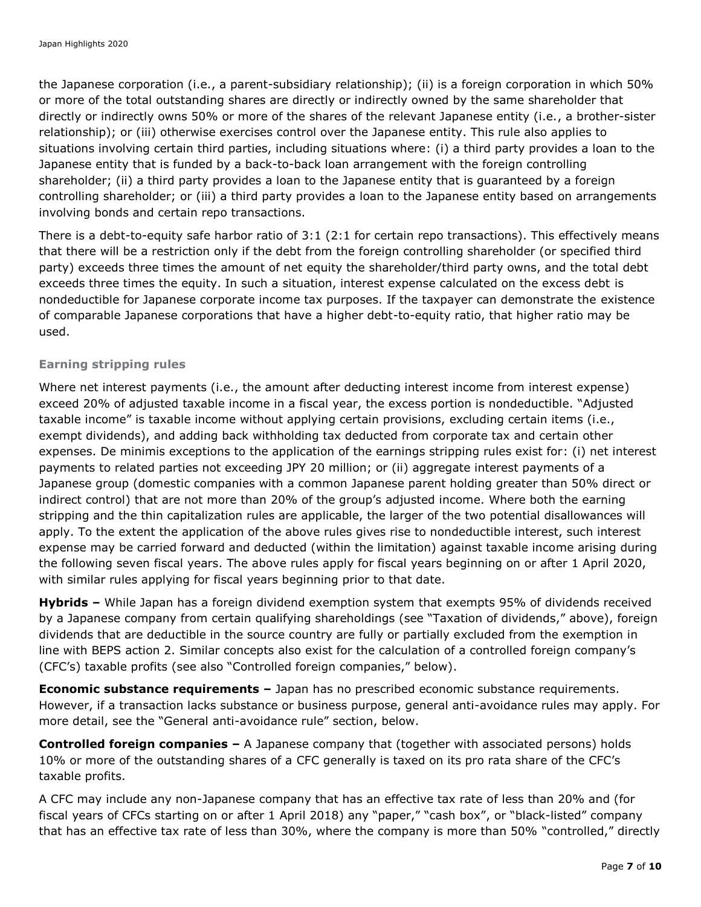the Japanese corporation (i.e., a parent-subsidiary relationship); (ii) is a foreign corporation in which 50% or more of the total outstanding shares are directly or indirectly owned by the same shareholder that directly or indirectly owns 50% or more of the shares of the relevant Japanese entity (i.e., a brother-sister relationship); or (iii) otherwise exercises control over the Japanese entity. This rule also applies to situations involving certain third parties, including situations where: (i) a third party provides a loan to the Japanese entity that is funded by a back-to-back loan arrangement with the foreign controlling shareholder; (ii) a third party provides a loan to the Japanese entity that is guaranteed by a foreign controlling shareholder; or (iii) a third party provides a loan to the Japanese entity based on arrangements involving bonds and certain repo transactions.

There is a debt-to-equity safe harbor ratio of 3:1 (2:1 for certain repo transactions). This effectively means that there will be a restriction only if the debt from the foreign controlling shareholder (or specified third party) exceeds three times the amount of net equity the shareholder/third party owns, and the total debt exceeds three times the equity. In such a situation, interest expense calculated on the excess debt is nondeductible for Japanese corporate income tax purposes. If the taxpayer can demonstrate the existence of comparable Japanese corporations that have a higher debt-to-equity ratio, that higher ratio may be used.

#### **Earning stripping rules**

Where net interest payments (i.e., the amount after deducting interest income from interest expense) exceed 20% of adjusted taxable income in a fiscal year, the excess portion is nondeductible. "Adjusted taxable income" is taxable income without applying certain provisions, excluding certain items (i.e., exempt dividends), and adding back withholding tax deducted from corporate tax and certain other expenses. De minimis exceptions to the application of the earnings stripping rules exist for: (i) net interest payments to related parties not exceeding JPY 20 million; or (ii) aggregate interest payments of a Japanese group (domestic companies with a common Japanese parent holding greater than 50% direct or indirect control) that are not more than 20% of the group's adjusted income. Where both the earning stripping and the thin capitalization rules are applicable, the larger of the two potential disallowances will apply. To the extent the application of the above rules gives rise to nondeductible interest, such interest expense may be carried forward and deducted (within the limitation) against taxable income arising during the following seven fiscal years. The above rules apply for fiscal years beginning on or after 1 April 2020, with similar rules applying for fiscal years beginning prior to that date.

**Hybrids –** While Japan has a foreign dividend exemption system that exempts 95% of dividends received by a Japanese company from certain qualifying shareholdings (see "Taxation of dividends," above), foreign dividends that are deductible in the source country are fully or partially excluded from the exemption in line with BEPS action 2. Similar concepts also exist for the calculation of a controlled foreign company's (CFC's) taxable profits (see also "Controlled foreign companies," below).

**Economic substance requirements –** Japan has no prescribed economic substance requirements. However, if a transaction lacks substance or business purpose, general anti-avoidance rules may apply. For more detail, see the "General anti-avoidance rule" section, below.

**Controlled foreign companies –** A Japanese company that (together with associated persons) holds 10% or more of the outstanding shares of a CFC generally is taxed on its pro rata share of the CFC's taxable profits.

A CFC may include any non-Japanese company that has an effective tax rate of less than 20% and (for fiscal years of CFCs starting on or after 1 April 2018) any "paper," "cash box", or "black-listed" company that has an effective tax rate of less than 30%, where the company is more than 50% "controlled," directly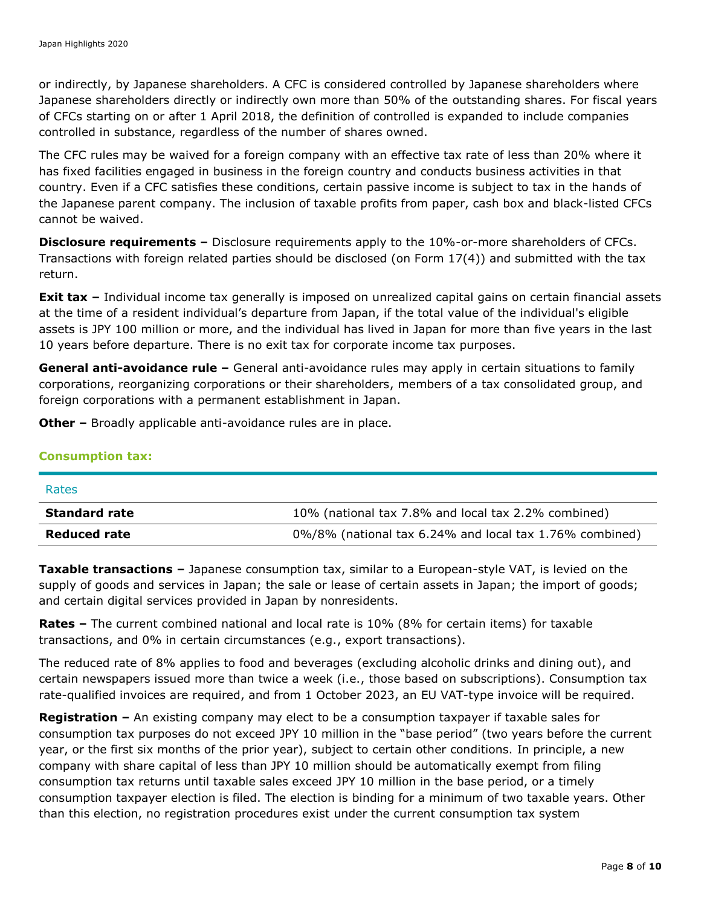or indirectly, by Japanese shareholders. A CFC is considered controlled by Japanese shareholders where Japanese shareholders directly or indirectly own more than 50% of the outstanding shares. For fiscal years of CFCs starting on or after 1 April 2018, the definition of controlled is expanded to include companies controlled in substance, regardless of the number of shares owned.

The CFC rules may be waived for a foreign company with an effective tax rate of less than 20% where it has fixed facilities engaged in business in the foreign country and conducts business activities in that country. Even if a CFC satisfies these conditions, certain passive income is subject to tax in the hands of the Japanese parent company. The inclusion of taxable profits from paper, cash box and black-listed CFCs cannot be waived.

**Disclosure requirements –** Disclosure requirements apply to the 10%-or-more shareholders of CFCs. Transactions with foreign related parties should be disclosed (on Form 17(4)) and submitted with the tax return.

**Exit tax** – Individual income tax generally is imposed on unrealized capital gains on certain financial assets at the time of a resident individual's departure from Japan, if the total value of the individual's eligible assets is JPY 100 million or more, and the individual has lived in Japan for more than five years in the last 10 years before departure. There is no exit tax for corporate income tax purposes.

**General anti-avoidance rule –** General anti-avoidance rules may apply in certain situations to family corporations, reorganizing corporations or their shareholders, members of a tax consolidated group, and foreign corporations with a permanent establishment in Japan.

**Other –** Broadly applicable anti-avoidance rules are in place.

#### **Consumption tax:**

| Rates                |                                                         |
|----------------------|---------------------------------------------------------|
| <b>Standard rate</b> | 10% (national tax 7.8% and local tax 2.2% combined)     |
| <b>Reduced rate</b>  | 0%/8% (national tax 6.24% and local tax 1.76% combined) |

**Taxable transactions –** Japanese consumption tax, similar to a European-style VAT, is levied on the supply of goods and services in Japan; the sale or lease of certain assets in Japan; the import of goods; and certain digital services provided in Japan by nonresidents.

**Rates –** The current combined national and local rate is 10% (8% for certain items) for taxable transactions, and 0% in certain circumstances (e.g., export transactions).

The reduced rate of 8% applies to food and beverages (excluding alcoholic drinks and dining out), and certain newspapers issued more than twice a week (i.e., those based on subscriptions). Consumption tax rate-qualified invoices are required, and from 1 October 2023, an EU VAT-type invoice will be required.

**Registration –** An existing company may elect to be a consumption taxpayer if taxable sales for consumption tax purposes do not exceed JPY 10 million in the "base period" (two years before the current year, or the first six months of the prior year), subject to certain other conditions. In principle, a new company with share capital of less than JPY 10 million should be automatically exempt from filing consumption tax returns until taxable sales exceed JPY 10 million in the base period, or a timely consumption taxpayer election is filed. The election is binding for a minimum of two taxable years. Other than this election, no registration procedures exist under the current consumption tax system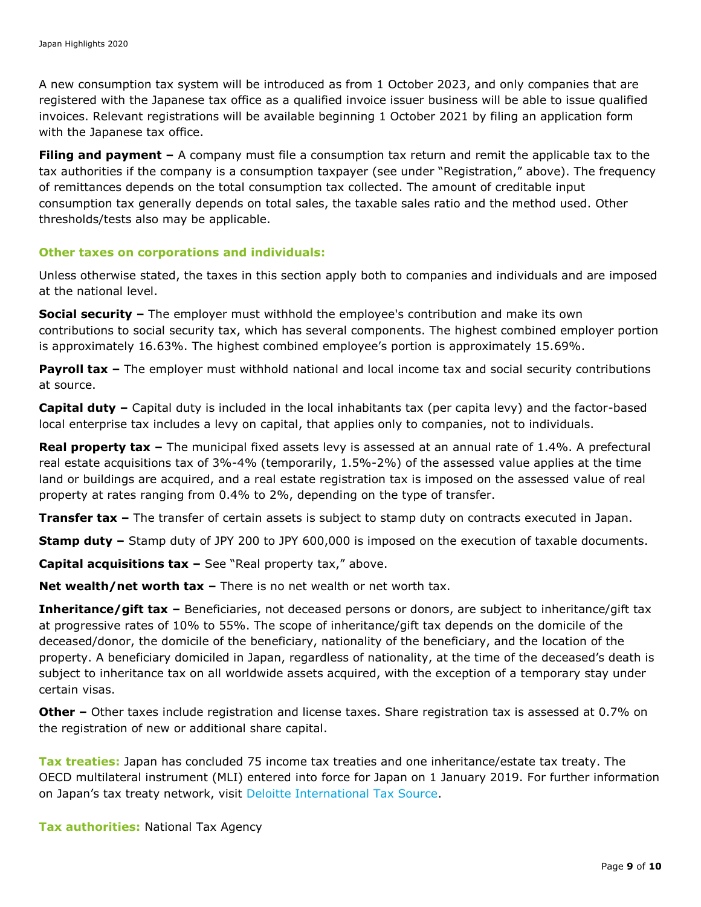A new consumption tax system will be introduced as from 1 October 2023, and only companies that are registered with the Japanese tax office as a qualified invoice issuer business will be able to issue qualified invoices. Relevant registrations will be available beginning 1 October 2021 by filing an application form with the Japanese tax office.

**Filing and payment –** A company must file a consumption tax return and remit the applicable tax to the tax authorities if the company is a consumption taxpayer (see under "Registration," above). The frequency of remittances depends on the total consumption tax collected. The amount of creditable input consumption tax generally depends on total sales, the taxable sales ratio and the method used. Other thresholds/tests also may be applicable.

#### **Other taxes on corporations and individuals:**

Unless otherwise stated, the taxes in this section apply both to companies and individuals and are imposed at the national level.

**Social security –** The employer must withhold the employee's contribution and make its own contributions to social security tax, which has several components. The highest combined employer portion is approximately 16.63%. The highest combined employee's portion is approximately 15.69%.

**Payroll tax –** The employer must withhold national and local income tax and social security contributions at source.

**Capital duty –** Capital duty is included in the local inhabitants tax (per capita levy) and the factor-based local enterprise tax includes a levy on capital, that applies only to companies, not to individuals.

**Real property tax –** The municipal fixed assets levy is assessed at an annual rate of 1.4%. A prefectural real estate acquisitions tax of 3%-4% (temporarily, 1.5%-2%) of the assessed value applies at the time land or buildings are acquired, and a real estate registration tax is imposed on the assessed value of real property at rates ranging from 0.4% to 2%, depending on the type of transfer.

**Transfer tax –** The transfer of certain assets is subject to stamp duty on contracts executed in Japan.

**Stamp duty –** Stamp duty of JPY 200 to JPY 600,000 is imposed on the execution of taxable documents.

**Capital acquisitions tax –** See "Real property tax," above.

**Net wealth/net worth tax –** There is no net wealth or net worth tax.

**Inheritance/gift tax –** Beneficiaries, not deceased persons or donors, are subject to inheritance/gift tax at progressive rates of 10% to 55%. The scope of inheritance/gift tax depends on the domicile of the deceased/donor, the domicile of the beneficiary, nationality of the beneficiary, and the location of the property. A beneficiary domiciled in Japan, regardless of nationality, at the time of the deceased's death is subject to inheritance tax on all worldwide assets acquired, with the exception of a temporary stay under certain visas.

**Other –** Other taxes include registration and license taxes. Share registration tax is assessed at 0.7% on the registration of new or additional share capital.

**Tax treaties:** Japan has concluded 75 income tax treaties and one inheritance/estate tax treaty. The OECD multilateral instrument (MLI) entered into force for Japan on 1 January 2019. For further information on Japan's tax treaty network, visit [Deloitte International Tax Source.](https://www.dits.deloitte.com/#Jurisdiction/33)

**Tax authorities:** National Tax Agency